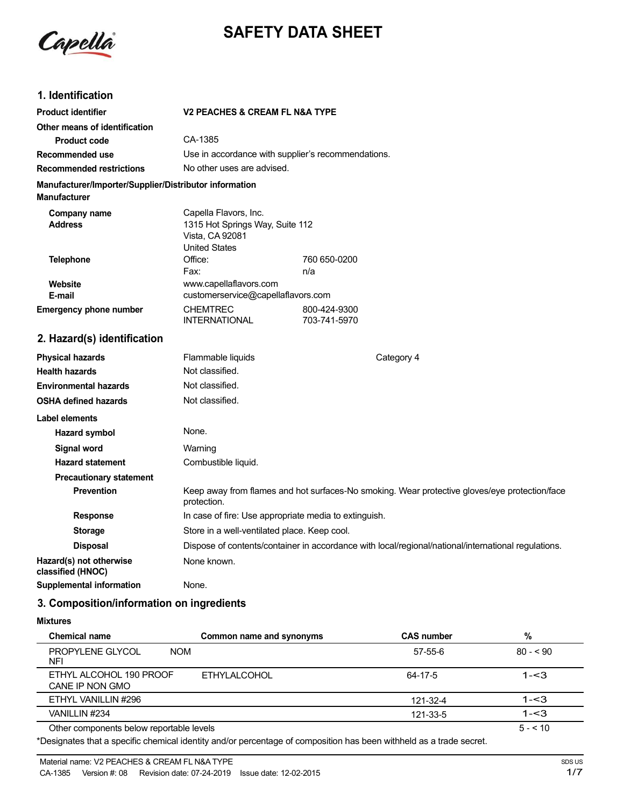

# **SAFETY DATA SHEET**

## **1. Identification**

| <b>Product identifier</b>                                                     | <b>V2 PEACHES &amp; CREAM FL N&amp;A TYPE</b>                                                                |                              |  |
|-------------------------------------------------------------------------------|--------------------------------------------------------------------------------------------------------------|------------------------------|--|
| Other means of identification                                                 |                                                                                                              |                              |  |
| <b>Product code</b>                                                           | CA-1385                                                                                                      |                              |  |
| <b>Recommended use</b>                                                        | Use in accordance with supplier's recommendations.                                                           |                              |  |
| <b>Recommended restrictions</b>                                               | No other uses are advised.                                                                                   |                              |  |
| Manufacturer/Importer/Supplier/Distributor information<br><b>Manufacturer</b> |                                                                                                              |                              |  |
| <b>Company name</b><br><b>Address</b>                                         | Capella Flavors, Inc.<br>1315 Hot Springs Way, Suite 112<br>Vista, CA 92081<br><b>United States</b>          |                              |  |
| <b>Telephone</b>                                                              | Office:                                                                                                      | 760 650-0200                 |  |
|                                                                               | Fax:                                                                                                         | n/a                          |  |
| Website<br>E-mail                                                             | www.capellaflavors.com<br>customerservice@capellaflavors.com                                                 |                              |  |
| <b>Emergency phone number</b>                                                 | <b>CHEMTREC</b><br><b>INTERNATIONAL</b>                                                                      | 800-424-9300<br>703-741-5970 |  |
| 2. Hazard(s) identification                                                   |                                                                                                              |                              |  |
| <b>Physical hazards</b>                                                       | Flammable liquids                                                                                            | Category 4                   |  |
| <b>Health hazards</b>                                                         | Not classified.                                                                                              |                              |  |
| <b>Environmental hazards</b>                                                  | Not classified.                                                                                              |                              |  |
| <b>OSHA defined hazards</b>                                                   | Not classified.                                                                                              |                              |  |
| Label elements                                                                |                                                                                                              |                              |  |
| Hazard symbol                                                                 | None.                                                                                                        |                              |  |
| <b>Signal word</b>                                                            | Warning                                                                                                      |                              |  |
| <b>Hazard statement</b>                                                       | Combustible liquid.                                                                                          |                              |  |
| <b>Precautionary statement</b>                                                |                                                                                                              |                              |  |
| <b>Prevention</b>                                                             | Keep away from flames and hot surfaces-No smoking. Wear protective gloves/eye protection/face<br>protection. |                              |  |
| <b>Response</b>                                                               | In case of fire: Use appropriate media to extinguish.                                                        |                              |  |
| <b>Storage</b>                                                                | Store in a well-ventilated place. Keep cool.                                                                 |                              |  |
| <b>Disposal</b>                                                               | Dispose of contents/container in accordance with local/regional/national/international regulations.          |                              |  |
| Hazard(s) not otherwise<br>classified (HNOC)                                  | None known.                                                                                                  |                              |  |
| <b>Supplemental information</b>                                               | None.                                                                                                        |                              |  |

## **3. Composition/information on ingredients**

**Mixtures**

| <b>Chemical name</b>                                | Common name and synonyms | <b>CAS number</b> | %         |
|-----------------------------------------------------|--------------------------|-------------------|-----------|
| <b>PROPYLENE GLYCOL</b><br><b>NOM</b><br><b>NFI</b> |                          | $57 - 55 - 6$     | $80 - 90$ |
| ETHYL ALCOHOL 190 PROOF<br>CANE IP NON GMO          | <b>ETHYLALCOHOL</b>      | 64-17-5           | $1 - 3$   |
| ETHYL VANILLIN #296                                 |                          | 121-32-4          | $1 - 3$   |
| VANILLIN #234                                       |                          | 121-33-5          | $1 - 3$   |
| Other components below reportable levels            |                          |                   | $5 - 10$  |

\*Designates that a specific chemical identity and/or percentage of composition has been withheld as a trade secret.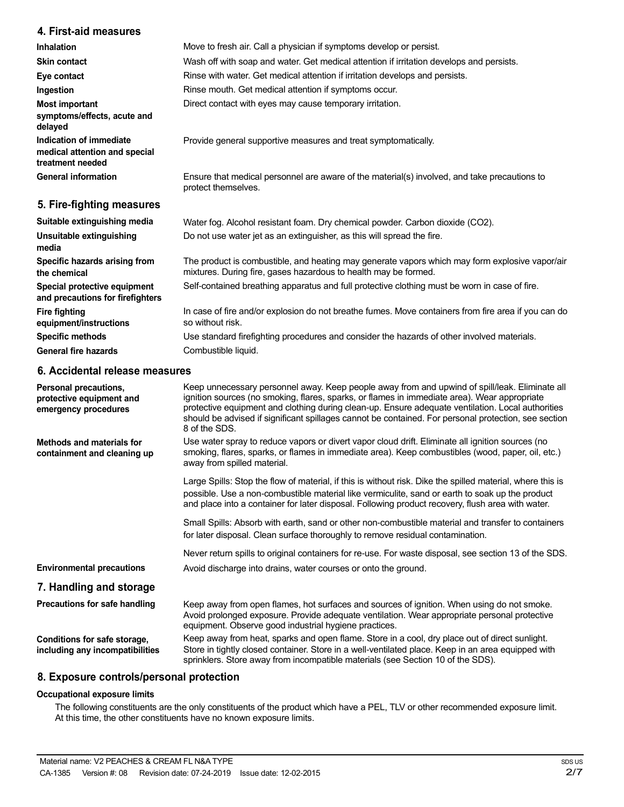#### **4. First-aid measures**

| <b>Inhalation</b>                                                            | Move to fresh air. Call a physician if symptoms develop or persist.                                                                                               |
|------------------------------------------------------------------------------|-------------------------------------------------------------------------------------------------------------------------------------------------------------------|
| <b>Skin contact</b>                                                          | Wash off with soap and water. Get medical attention if irritation develops and persists.                                                                          |
| Eye contact                                                                  | Rinse with water. Get medical attention if irritation develops and persists.                                                                                      |
| Ingestion                                                                    | Rinse mouth. Get medical attention if symptoms occur.                                                                                                             |
| <b>Most important</b><br>symptoms/effects, acute and<br>delayed              | Direct contact with eyes may cause temporary irritation.                                                                                                          |
| Indication of immediate<br>medical attention and special<br>treatment needed | Provide general supportive measures and treat symptomatically.                                                                                                    |
| <b>General information</b>                                                   | Ensure that medical personnel are aware of the material(s) involved, and take precautions to<br>protect themselves.                                               |
| 5. Fire-fighting measures                                                    |                                                                                                                                                                   |
| Suitable extinguishing media                                                 | Water fog. Alcohol resistant foam. Dry chemical powder. Carbon dioxide (CO2).                                                                                     |
| Unsuitable extinguishing<br>media                                            | Do not use water jet as an extinguisher, as this will spread the fire.                                                                                            |
| Specific hazards arising from<br>the chemical                                | The product is combustible, and heating may generate vapors which may form explosive vapor/air<br>mixtures. During fire, gases hazardous to health may be formed. |

Self-contained breathing apparatus and full protective clothing must be worn in case of fire.

In case of fire and/or explosion do not breathe fumes. Move containers from fire area if you can do so without risk.

Use standard firefighting procedures and consider the hazards of other involved materials. Combustible liquid.

### **6. Accidental release measures**

**Special protective equipment and precautions for firefighters**

**equipment/instructions Specific methods General fire hazards**

**Fire fighting**

| Personal precautions,<br>protective equipment and<br>emergency procedures | Keep unnecessary personnel away. Keep people away from and upwind of spill/leak. Eliminate all<br>ignition sources (no smoking, flares, sparks, or flames in immediate area). Wear appropriate<br>protective equipment and clothing during clean-up. Ensure adequate ventilation. Local authorities<br>should be advised if significant spillages cannot be contained. For personal protection, see section<br>8 of the SDS. |
|---------------------------------------------------------------------------|------------------------------------------------------------------------------------------------------------------------------------------------------------------------------------------------------------------------------------------------------------------------------------------------------------------------------------------------------------------------------------------------------------------------------|
| Methods and materials for<br>containment and cleaning up                  | Use water spray to reduce vapors or divert vapor cloud drift. Eliminate all ignition sources (no<br>smoking, flares, sparks, or flames in immediate area). Keep combustibles (wood, paper, oil, etc.)<br>away from spilled material.                                                                                                                                                                                         |
|                                                                           | Large Spills: Stop the flow of material, if this is without risk. Dike the spilled material, where this is<br>possible. Use a non-combustible material like vermiculite, sand or earth to soak up the product<br>and place into a container for later disposal. Following product recovery, flush area with water.                                                                                                           |
|                                                                           | Small Spills: Absorb with earth, sand or other non-combustible material and transfer to containers<br>for later disposal. Clean surface thoroughly to remove residual contamination.                                                                                                                                                                                                                                         |
|                                                                           | Never return spills to original containers for re-use. For waste disposal, see section 13 of the SDS.                                                                                                                                                                                                                                                                                                                        |
| <b>Environmental precautions</b>                                          | Avoid discharge into drains, water courses or onto the ground.                                                                                                                                                                                                                                                                                                                                                               |
| 7. Handling and storage                                                   |                                                                                                                                                                                                                                                                                                                                                                                                                              |
| Precautions for safe handling                                             | Keep away from open flames, hot surfaces and sources of ignition. When using do not smoke.<br>Avoid prolonged exposure. Provide adequate ventilation. Wear appropriate personal protective<br>equipment. Observe good industrial hygiene practices.                                                                                                                                                                          |
| Conditions for safe storage,<br>including any incompatibilities           | Keep away from heat, sparks and open flame. Store in a cool, dry place out of direct sunlight.<br>Store in tightly closed container. Store in a well-ventilated place. Keep in an area equipped with<br>sprinklers. Store away from incompatible materials (see Section 10 of the SDS).                                                                                                                                      |

#### **8. Exposure controls/personal protection**

#### **Occupational exposure limits**

The following constituents are the only constituents of the product which have a PEL, TLV or other recommended exposure limit. At this time, the other constituents have no known exposure limits.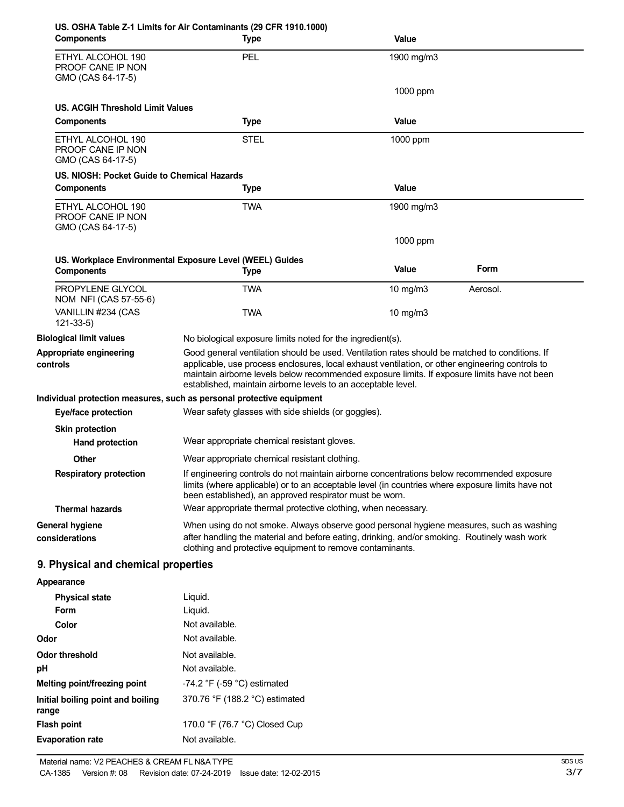| <b>Components</b>                                            | US. OSHA Table Z-1 Limits for Air Contaminants (29 CFR 1910.1000)<br><b>Type</b>                                                                                                                                                                                                                                                                                   | Value      |          |
|--------------------------------------------------------------|--------------------------------------------------------------------------------------------------------------------------------------------------------------------------------------------------------------------------------------------------------------------------------------------------------------------------------------------------------------------|------------|----------|
| ETHYL ALCOHOL 190<br>PROOF CANE IP NON<br>GMO (CAS 64-17-5)  | PEL                                                                                                                                                                                                                                                                                                                                                                | 1900 mg/m3 |          |
|                                                              |                                                                                                                                                                                                                                                                                                                                                                    | 1000 ppm   |          |
| <b>US. ACGIH Threshold Limit Values</b><br><b>Components</b> |                                                                                                                                                                                                                                                                                                                                                                    | Value      |          |
|                                                              | <b>Type</b>                                                                                                                                                                                                                                                                                                                                                        |            |          |
| ETHYL ALCOHOL 190<br>PROOF CANE IP NON<br>GMO (CAS 64-17-5)  | <b>STEL</b>                                                                                                                                                                                                                                                                                                                                                        | 1000 ppm   |          |
| US. NIOSH: Pocket Guide to Chemical Hazards                  |                                                                                                                                                                                                                                                                                                                                                                    |            |          |
| <b>Components</b>                                            | <b>Type</b>                                                                                                                                                                                                                                                                                                                                                        | Value      |          |
| ETHYL ALCOHOL 190<br>PROOF CANE IP NON<br>GMO (CAS 64-17-5)  | <b>TWA</b>                                                                                                                                                                                                                                                                                                                                                         | 1900 mg/m3 |          |
|                                                              |                                                                                                                                                                                                                                                                                                                                                                    | 1000 ppm   |          |
| <b>Components</b>                                            | US. Workplace Environmental Exposure Level (WEEL) Guides<br><b>Type</b>                                                                                                                                                                                                                                                                                            | Value      | Form     |
| PROPYLENE GLYCOL<br>NOM NFI (CAS 57-55-6)                    | <b>TWA</b>                                                                                                                                                                                                                                                                                                                                                         | 10 mg/m3   | Aerosol. |
| VANILLIN #234 (CAS<br>$121 - 33 - 5$                         | <b>TWA</b>                                                                                                                                                                                                                                                                                                                                                         | 10 $mg/m3$ |          |
| <b>Biological limit values</b>                               | No biological exposure limits noted for the ingredient(s).                                                                                                                                                                                                                                                                                                         |            |          |
| Appropriate engineering<br>controls                          | Good general ventilation should be used. Ventilation rates should be matched to conditions. If<br>applicable, use process enclosures, local exhaust ventilation, or other engineering controls to<br>maintain airborne levels below recommended exposure limits. If exposure limits have not been<br>established, maintain airborne levels to an acceptable level. |            |          |
|                                                              | Individual protection measures, such as personal protective equipment                                                                                                                                                                                                                                                                                              |            |          |
| Eye/face protection                                          | Wear safety glasses with side shields (or goggles).                                                                                                                                                                                                                                                                                                                |            |          |
| <b>Skin protection</b><br><b>Hand protection</b>             | Wear appropriate chemical resistant gloves.                                                                                                                                                                                                                                                                                                                        |            |          |
| <b>Other</b>                                                 | Wear appropriate chemical resistant clothing.                                                                                                                                                                                                                                                                                                                      |            |          |
| <b>Respiratory protection</b>                                | If engineering controls do not maintain airborne concentrations below recommended exposure<br>limits (where applicable) or to an acceptable level (in countries where exposure limits have not<br>been established), an approved respirator must be worn.                                                                                                          |            |          |
| <b>Thermal hazards</b>                                       | Wear appropriate thermal protective clothing, when necessary.                                                                                                                                                                                                                                                                                                      |            |          |
| <b>General hygiene</b><br>considerations                     | When using do not smoke. Always observe good personal hygiene measures, such as washing<br>after handling the material and before eating, drinking, and/or smoking. Routinely wash work<br>clothing and protective equipment to remove contaminants.                                                                                                               |            |          |
| 9. Physical and chemical properties                          |                                                                                                                                                                                                                                                                                                                                                                    |            |          |
| Appearance                                                   |                                                                                                                                                                                                                                                                                                                                                                    |            |          |
| <b>Physical state</b><br>Form                                | Liquid.<br>Liquid.                                                                                                                                                                                                                                                                                                                                                 |            |          |
| Color                                                        | Not available.                                                                                                                                                                                                                                                                                                                                                     |            |          |
| Odor                                                         | Not available.                                                                                                                                                                                                                                                                                                                                                     |            |          |
| <b>Odor threshold</b>                                        | Not available.                                                                                                                                                                                                                                                                                                                                                     |            |          |
| pH                                                           | Not available.                                                                                                                                                                                                                                                                                                                                                     |            |          |
| Melting point/freezing point                                 | -74.2 $\degree$ F (-59 $\degree$ C) estimated                                                                                                                                                                                                                                                                                                                      |            |          |
| Initial boiling point and boiling<br>range                   | 370.76 °F (188.2 °C) estimated                                                                                                                                                                                                                                                                                                                                     |            |          |
| <b>Flash point</b>                                           | 170.0 °F (76.7 °C) Closed Cup                                                                                                                                                                                                                                                                                                                                      |            |          |
| <b>Evaporation rate</b>                                      | Not available.                                                                                                                                                                                                                                                                                                                                                     |            |          |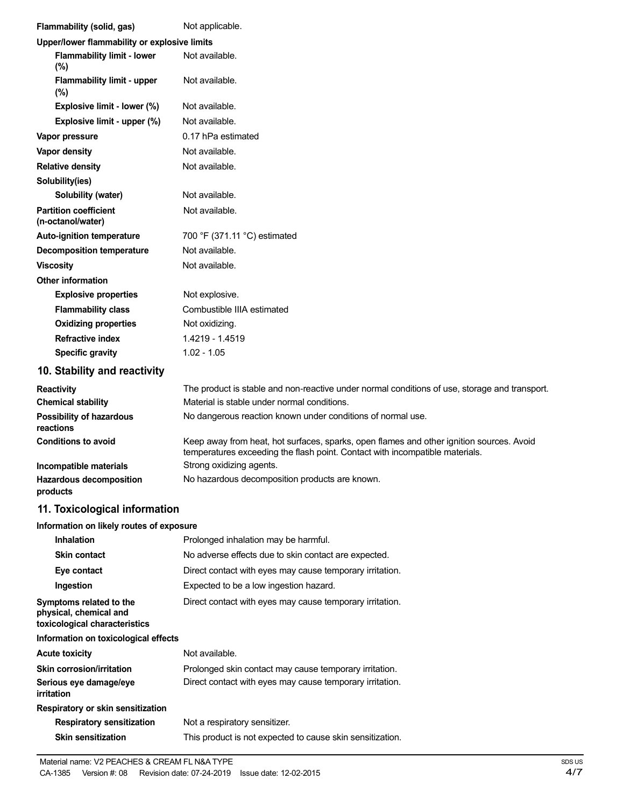| Flammability (solid, gas)                                                          | Not applicable.                                                                                                                                                          |
|------------------------------------------------------------------------------------|--------------------------------------------------------------------------------------------------------------------------------------------------------------------------|
| Upper/lower flammability or explosive limits                                       |                                                                                                                                                                          |
| <b>Flammability limit - lower</b><br>(%)                                           | Not available.                                                                                                                                                           |
| <b>Flammability limit - upper</b><br>$(\%)$                                        | Not available.                                                                                                                                                           |
| Explosive limit - lower (%)                                                        | Not available.                                                                                                                                                           |
| Explosive limit - upper (%)                                                        | Not available.                                                                                                                                                           |
| Vapor pressure                                                                     | 0.17 hPa estimated                                                                                                                                                       |
| Vapor density                                                                      | Not available.                                                                                                                                                           |
| <b>Relative density</b>                                                            | Not available.                                                                                                                                                           |
| Solubility(ies)                                                                    |                                                                                                                                                                          |
| Solubility (water)                                                                 | Not available.                                                                                                                                                           |
| <b>Partition coefficient</b><br>(n-octanol/water)                                  | Not available.                                                                                                                                                           |
| Auto-ignition temperature                                                          | 700 °F (371.11 °C) estimated                                                                                                                                             |
| <b>Decomposition temperature</b>                                                   | Not available.                                                                                                                                                           |
| <b>Viscosity</b>                                                                   | Not available.                                                                                                                                                           |
| <b>Other information</b>                                                           |                                                                                                                                                                          |
| <b>Explosive properties</b>                                                        | Not explosive.                                                                                                                                                           |
| <b>Flammability class</b>                                                          | Combustible IIIA estimated                                                                                                                                               |
| <b>Oxidizing properties</b>                                                        | Not oxidizing.                                                                                                                                                           |
| <b>Refractive index</b>                                                            | 1.4219 - 1.4519                                                                                                                                                          |
| <b>Specific gravity</b>                                                            | $1.02 - 1.05$                                                                                                                                                            |
| 10. Stability and reactivity                                                       |                                                                                                                                                                          |
| <b>Reactivity</b>                                                                  | The product is stable and non-reactive under normal conditions of use, storage and transport.                                                                            |
|                                                                                    |                                                                                                                                                                          |
| <b>Chemical stability</b>                                                          | Material is stable under normal conditions.                                                                                                                              |
| Possibility of hazardous<br>reactions                                              | No dangerous reaction known under conditions of normal use.                                                                                                              |
| <b>Conditions to avoid</b>                                                         | Keep away from heat, hot surfaces, sparks, open flames and other ignition sources. Avoid<br>temperatures exceeding the flash point. Contact with incompatible materials. |
| Incompatible materials                                                             | Strong oxidizing agents.                                                                                                                                                 |
| <b>Hazardous decomposition</b><br>products                                         | No hazardous decomposition products are known.                                                                                                                           |
| 11. Toxicological information                                                      |                                                                                                                                                                          |
| Information on likely routes of exposure                                           |                                                                                                                                                                          |
| <b>Inhalation</b>                                                                  | Prolonged inhalation may be harmful.                                                                                                                                     |
| <b>Skin contact</b>                                                                | No adverse effects due to skin contact are expected.                                                                                                                     |
| Eye contact                                                                        | Direct contact with eyes may cause temporary irritation.                                                                                                                 |
| Ingestion                                                                          | Expected to be a low ingestion hazard.                                                                                                                                   |
| Symptoms related to the<br>physical, chemical and<br>toxicological characteristics | Direct contact with eyes may cause temporary irritation.                                                                                                                 |
| Information on toxicological effects                                               |                                                                                                                                                                          |
| <b>Acute toxicity</b>                                                              | Not available.                                                                                                                                                           |
| Skin corrosion/irritation                                                          | Prolonged skin contact may cause temporary irritation.                                                                                                                   |
| Serious eye damage/eye<br>irritation                                               | Direct contact with eyes may cause temporary irritation.                                                                                                                 |
| Respiratory or skin sensitization                                                  |                                                                                                                                                                          |
| <b>Respiratory sensitization</b>                                                   | Not a respiratory sensitizer.<br>This product is not expected to cause skin sensitization.                                                                               |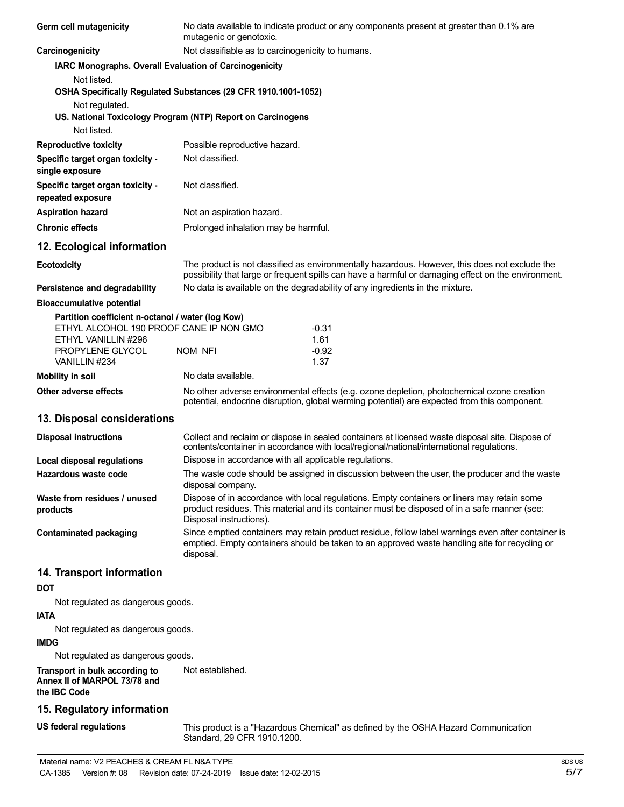| Germ cell mutagenicity                                         | No data available to indicate product or any components present at greater than 0.1% are<br>mutagenic or genotoxic.                                                                                                    |                                                                                                                                                                                                     |  |
|----------------------------------------------------------------|------------------------------------------------------------------------------------------------------------------------------------------------------------------------------------------------------------------------|-----------------------------------------------------------------------------------------------------------------------------------------------------------------------------------------------------|--|
| Carcinogenicity                                                | Not classifiable as to carcinogenicity to humans.                                                                                                                                                                      |                                                                                                                                                                                                     |  |
| <b>IARC Monographs. Overall Evaluation of Carcinogenicity</b>  |                                                                                                                                                                                                                        |                                                                                                                                                                                                     |  |
| Not listed.                                                    |                                                                                                                                                                                                                        |                                                                                                                                                                                                     |  |
|                                                                | OSHA Specifically Regulated Substances (29 CFR 1910.1001-1052)                                                                                                                                                         |                                                                                                                                                                                                     |  |
| Not regulated.                                                 |                                                                                                                                                                                                                        |                                                                                                                                                                                                     |  |
|                                                                | US. National Toxicology Program (NTP) Report on Carcinogens                                                                                                                                                            |                                                                                                                                                                                                     |  |
| Not listed.                                                    |                                                                                                                                                                                                                        |                                                                                                                                                                                                     |  |
| <b>Reproductive toxicity</b>                                   | Possible reproductive hazard.                                                                                                                                                                                          |                                                                                                                                                                                                     |  |
| Specific target organ toxicity -<br>single exposure            | Not classified.                                                                                                                                                                                                        |                                                                                                                                                                                                     |  |
| Specific target organ toxicity -<br>repeated exposure          | Not classified.                                                                                                                                                                                                        |                                                                                                                                                                                                     |  |
| <b>Aspiration hazard</b>                                       | Not an aspiration hazard.                                                                                                                                                                                              |                                                                                                                                                                                                     |  |
| <b>Chronic effects</b>                                         | Prolonged inhalation may be harmful.                                                                                                                                                                                   |                                                                                                                                                                                                     |  |
| 12. Ecological information                                     |                                                                                                                                                                                                                        |                                                                                                                                                                                                     |  |
| <b>Ecotoxicity</b>                                             | The product is not classified as environmentally hazardous. However, this does not exclude the<br>possibility that large or frequent spills can have a harmful or damaging effect on the environment.                  |                                                                                                                                                                                                     |  |
| Persistence and degradability                                  |                                                                                                                                                                                                                        | No data is available on the degradability of any ingredients in the mixture.                                                                                                                        |  |
| <b>Bioaccumulative potential</b>                               |                                                                                                                                                                                                                        |                                                                                                                                                                                                     |  |
| Partition coefficient n-octanol / water (log Kow)              |                                                                                                                                                                                                                        |                                                                                                                                                                                                     |  |
| ETHYL ALCOHOL 190 PROOF CANE IP NON GMO<br>ETHYL VANILLIN #296 |                                                                                                                                                                                                                        | $-0.31$<br>1.61                                                                                                                                                                                     |  |
| PROPYLENE GLYCOL                                               | NOM NFI                                                                                                                                                                                                                | $-0.92$                                                                                                                                                                                             |  |
| VANILLIN #234                                                  |                                                                                                                                                                                                                        | 1.37                                                                                                                                                                                                |  |
| <b>Mobility in soil</b>                                        | No data available.                                                                                                                                                                                                     |                                                                                                                                                                                                     |  |
| Other adverse effects                                          |                                                                                                                                                                                                                        | No other adverse environmental effects (e.g. ozone depletion, photochemical ozone creation<br>potential, endocrine disruption, global warming potential) are expected from this component.          |  |
| 13. Disposal considerations                                    |                                                                                                                                                                                                                        |                                                                                                                                                                                                     |  |
| <b>Disposal instructions</b>                                   | Collect and reclaim or dispose in sealed containers at licensed waste disposal site. Dispose of<br>contents/container in accordance with local/regional/national/international regulations.                            |                                                                                                                                                                                                     |  |
| Local disposal regulations                                     |                                                                                                                                                                                                                        | Dispose in accordance with all applicable regulations.                                                                                                                                              |  |
| Hazardous waste code                                           | The waste code should be assigned in discussion between the user, the producer and the waste<br>disposal company.                                                                                                      |                                                                                                                                                                                                     |  |
| Waste from residues / unused<br>products                       | Dispose of in accordance with local regulations. Empty containers or liners may retain some<br>product residues. This material and its container must be disposed of in a safe manner (see:<br>Disposal instructions). |                                                                                                                                                                                                     |  |
| <b>Contaminated packaging</b>                                  | disposal.                                                                                                                                                                                                              | Since emptied containers may retain product residue, follow label warnings even after container is<br>emptied. Empty containers should be taken to an approved waste handling site for recycling or |  |
| 14. Transport information                                      |                                                                                                                                                                                                                        |                                                                                                                                                                                                     |  |
| <b>DOT</b>                                                     |                                                                                                                                                                                                                        |                                                                                                                                                                                                     |  |
| Not regulated as dangerous goods.                              |                                                                                                                                                                                                                        |                                                                                                                                                                                                     |  |
| <b>IATA</b>                                                    |                                                                                                                                                                                                                        |                                                                                                                                                                                                     |  |
| Not regulated as dangerous goods.                              |                                                                                                                                                                                                                        |                                                                                                                                                                                                     |  |
| <b>IMDG</b>                                                    |                                                                                                                                                                                                                        |                                                                                                                                                                                                     |  |
| Not regulated as dangerous goods.                              |                                                                                                                                                                                                                        |                                                                                                                                                                                                     |  |
|                                                                |                                                                                                                                                                                                                        |                                                                                                                                                                                                     |  |

**Transport in bulk according to Annex II of MARPOL 73/78 and the IBC Code** Not established.

# **15. Regulatory information**

**US federal regulations**

This product is a "Hazardous Chemical" as defined by the OSHA Hazard Communication Standard, 29 CFR 1910.1200.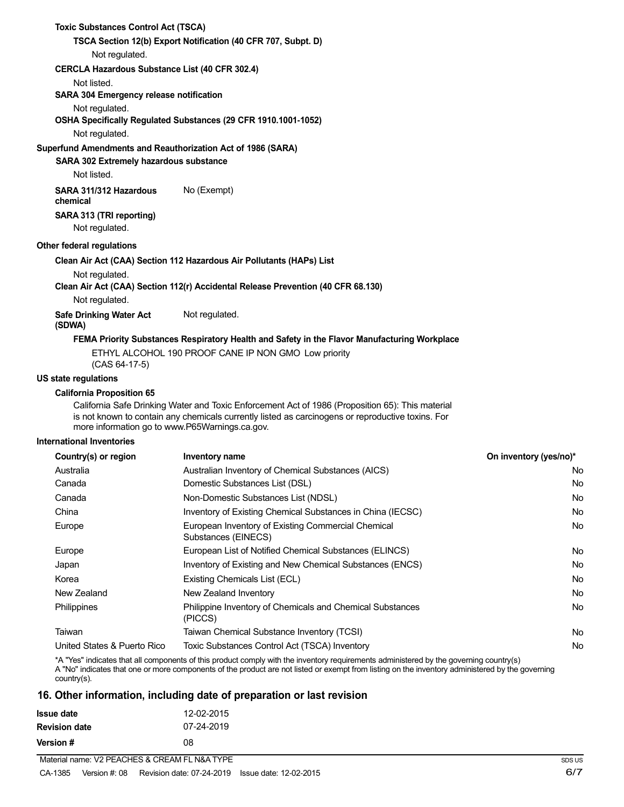| <b>Toxic Substances Control Act (TSCA)</b>                  |                                                                                                                                                                                                       |
|-------------------------------------------------------------|-------------------------------------------------------------------------------------------------------------------------------------------------------------------------------------------------------|
|                                                             | TSCA Section 12(b) Export Notification (40 CFR 707, Subpt. D)                                                                                                                                         |
| Not regulated.                                              |                                                                                                                                                                                                       |
| CERCLA Hazardous Substance List (40 CFR 302.4)              |                                                                                                                                                                                                       |
| Not listed.                                                 |                                                                                                                                                                                                       |
| <b>SARA 304 Emergency release notification</b>              |                                                                                                                                                                                                       |
| Not regulated.                                              |                                                                                                                                                                                                       |
|                                                             | OSHA Specifically Regulated Substances (29 CFR 1910.1001-1052)                                                                                                                                        |
| Not regulated.                                              |                                                                                                                                                                                                       |
| Superfund Amendments and Reauthorization Act of 1986 (SARA) |                                                                                                                                                                                                       |
| SARA 302 Extremely hazardous substance                      |                                                                                                                                                                                                       |
| Not listed.                                                 |                                                                                                                                                                                                       |
| SARA 311/312 Hazardous<br>chemical                          | No (Exempt)                                                                                                                                                                                           |
| SARA 313 (TRI reporting)<br>Not regulated.                  |                                                                                                                                                                                                       |
| Other federal regulations                                   |                                                                                                                                                                                                       |
|                                                             | Clean Air Act (CAA) Section 112 Hazardous Air Pollutants (HAPs) List                                                                                                                                  |
| Not regulated.                                              |                                                                                                                                                                                                       |
|                                                             | Clean Air Act (CAA) Section 112(r) Accidental Release Prevention (40 CFR 68.130)                                                                                                                      |
| Not regulated.                                              |                                                                                                                                                                                                       |
| <b>Safe Drinking Water Act</b><br>(SDWA)                    | Not regulated.                                                                                                                                                                                        |
|                                                             | FEMA Priority Substances Respiratory Health and Safety in the Flavor Manufacturing Workplace                                                                                                          |
| $(CAS 64-17-5)$                                             | ETHYL ALCOHOL 190 PROOF CANE IP NON GMO Low priority                                                                                                                                                  |
| US state regulations                                        |                                                                                                                                                                                                       |
| <b>California Proposition 65</b>                            |                                                                                                                                                                                                       |
| more information go to www.P65Warnings.ca.gov.              | California Safe Drinking Water and Toxic Enforcement Act of 1986 (Proposition 65): This material<br>is not known to contain any chemicals currently listed as carcinogens or reproductive toxins. For |

#### **International Inventories**

| Country(s) or region        | Inventory name                                                            | On inventory (yes/no)* |
|-----------------------------|---------------------------------------------------------------------------|------------------------|
| Australia                   | Australian Inventory of Chemical Substances (AICS)                        | No.                    |
| Canada                      | Domestic Substances List (DSL)                                            | No.                    |
| Canada                      | Non-Domestic Substances List (NDSL)                                       | No.                    |
| China                       | Inventory of Existing Chemical Substances in China (IECSC)                | No.                    |
| Europe                      | European Inventory of Existing Commercial Chemical<br>Substances (EINECS) | No.                    |
| Europe                      | European List of Notified Chemical Substances (ELINCS)                    | No.                    |
| Japan                       | Inventory of Existing and New Chemical Substances (ENCS)                  | No.                    |
| Korea                       | Existing Chemicals List (ECL)                                             | No.                    |
| New Zealand                 | New Zealand Inventory                                                     | No.                    |
| <b>Philippines</b>          | Philippine Inventory of Chemicals and Chemical Substances<br>(PICCS)      | No.                    |
| Taiwan                      | Taiwan Chemical Substance Inventory (TCSI)                                | No.                    |
| United States & Puerto Rico | Toxic Substances Control Act (TSCA) Inventory                             | No.                    |
|                             |                                                                           |                        |

\*A "Yes" indicates that all components of this product comply with the inventory requirements administered by the governing country(s) A "No" indicates that one or more components of the product are not listed or exempt from listing on the inventory administered by the governing country(s).

# **16. Other information, including date of preparation or last revision**

| Issue date           | 12-02-2015 |
|----------------------|------------|
| <b>Revision date</b> | 07-24-2019 |
| Version #            | 08         |